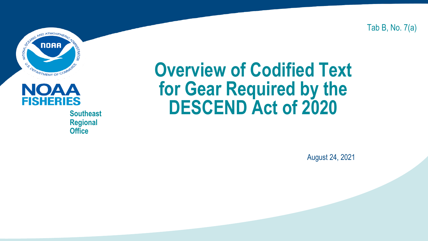Tab B, No. 7(a)



# $\bf{O}$  $\bf{A}$   $\bf{A}$

**Regional Office**

#### **Overview of Codified Text for Gear Required by the Southeast DESCEND Act of 2020**

August 24, 2021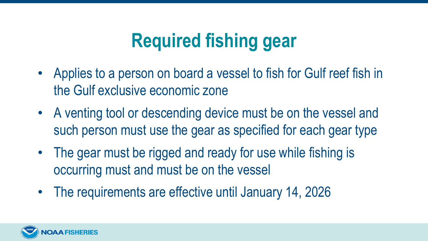### **Required fishing gear**

- Applies to a person on board a vessel to fish for Gulf reef fish in the Gulf exclusive economic zone
- A venting tool or descending device must be on the vessel and such person must use the gear as specified for each gear type
- The gear must be rigged and ready for use while fishing is occurring must and must be on the vessel
- The requirements are effective until January 14, 2026

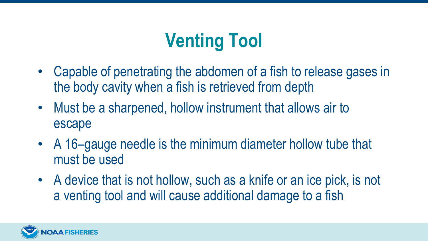## **Venting Tool**

- Capable of penetrating the abdomen of a fish to release gases in the body cavity when a fish is retrieved from depth
- Must be a sharpened, hollow instrument that allows air to escape
- A 16–gauge needle is the minimum diameter hollow tube that must be used
- A device that is not hollow, such as a knife or an ice pick, is not a venting tool and will cause additional damage to a fish